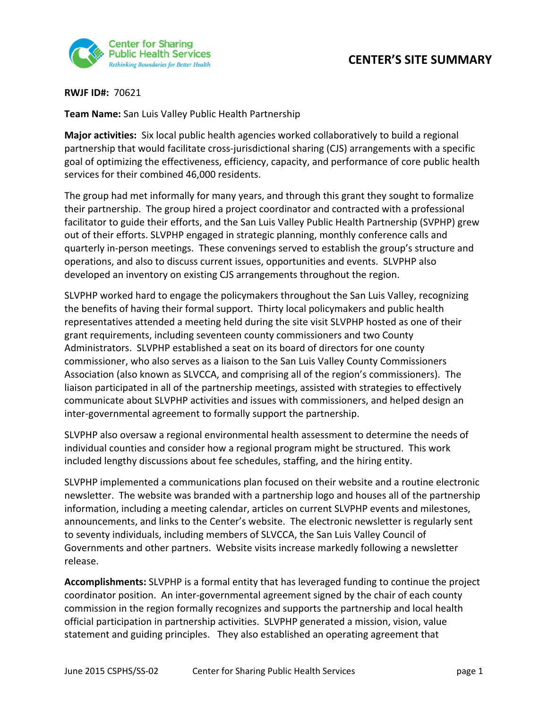

## **CENTER'S SITE SUMMARY**

**RWJF ID#:** 70621

**Team Name:** San Luis Valley Public Health Partnership

**Major activities:** Six local public health agencies worked collaboratively to build a regional partnership that would facilitate cross-jurisdictional sharing (CJS) arrangements with a specific goal of optimizing the effectiveness, efficiency, capacity, and performance of core public health services for their combined 46,000 residents.

The group had met informally for many years, and through this grant they sought to formalize their partnership. The group hired a project coordinator and contracted with a professional facilitator to guide their efforts, and the San Luis Valley Public Health Partnership (SVPHP) grew out of their efforts. SLVPHP engaged in strategic planning, monthly conference calls and quarterly in‐person meetings. These convenings served to establish the group's structure and operations, and also to discuss current issues, opportunities and events. SLVPHP also developed an inventory on existing CJS arrangements throughout the region.

SLVPHP worked hard to engage the policymakers throughout the San Luis Valley, recognizing the benefits of having their formal support. Thirty local policymakers and public health representatives attended a meeting held during the site visit SLVPHP hosted as one of their grant requirements, including seventeen county commissioners and two County Administrators. SLVPHP established a seat on its board of directors for one county commissioner, who also serves as a liaison to the San Luis Valley County Commissioners Association (also known as SLVCCA, and comprising all of the region's commissioners). The liaison participated in all of the partnership meetings, assisted with strategies to effectively communicate about SLVPHP activities and issues with commissioners, and helped design an inter‐governmental agreement to formally support the partnership.

SLVPHP also oversaw a regional environmental health assessment to determine the needs of individual counties and consider how a regional program might be structured. This work included lengthy discussions about fee schedules, staffing, and the hiring entity.

SLVPHP implemented a communications plan focused on their website and a routine electronic newsletter. The website was branded with a partnership logo and houses all of the partnership information, including a meeting calendar, articles on current SLVPHP events and milestones, announcements, and links to the Center's website. The electronic newsletter is regularly sent to seventy individuals, including members of SLVCCA, the San Luis Valley Council of Governments and other partners. Website visits increase markedly following a newsletter release.

**Accomplishments:** SLVPHP is a formal entity that has leveraged funding to continue the project coordinator position. An inter‐governmental agreement signed by the chair of each county commission in the region formally recognizes and supports the partnership and local health official participation in partnership activities. SLVPHP generated a mission, vision, value statement and guiding principles. They also established an operating agreement that